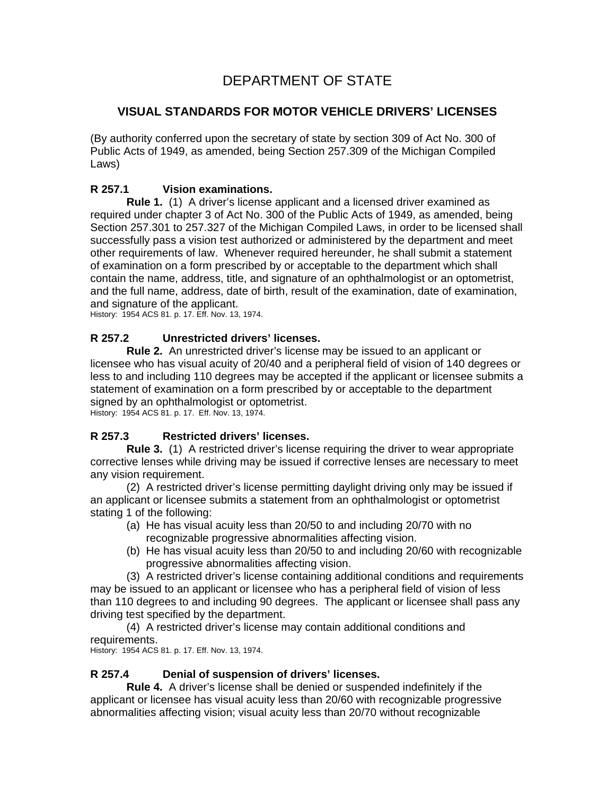# DEPARTMENT OF STATE

# **VISUAL STANDARDS FOR MOTOR VEHICLE DRIVERS' LICENSES**

(By authority conferred upon the secretary of state by section 309 of Act No. 300 of Public Acts of 1949, as amended, being Section 257.309 of the Michigan Compiled Laws)

### **R 257.1 Vision examinations.**

 **Rule 1.** (1) A driver's license applicant and a licensed driver examined as required under chapter 3 of Act No. 300 of the Public Acts of 1949, as amended, being Section 257.301 to 257.327 of the Michigan Compiled Laws, in order to be licensed shall successfully pass a vision test authorized or administered by the department and meet other requirements of law. Whenever required hereunder, he shall submit a statement of examination on a form prescribed by or acceptable to the department which shall contain the name, address, title, and signature of an ophthalmologist or an optometrist, and the full name, address, date of birth, result of the examination, date of examination, and signature of the applicant.

History: 1954 ACS 81. p. 17. Eff. Nov. 13, 1974.

#### **R 257.2 Unrestricted drivers' licenses.**

 **Rule 2.** An unrestricted driver's license may be issued to an applicant or licensee who has visual acuity of 20/40 and a peripheral field of vision of 140 degrees or less to and including 110 degrees may be accepted if the applicant or licensee submits a statement of examination on a form prescribed by or acceptable to the department signed by an ophthalmologist or optometrist. History: 1954 ACS 81. p. 17. Eff. Nov. 13, 1974.

## **R 257.3 Restricted drivers' licenses.**

 **Rule 3.** (1) A restricted driver's license requiring the driver to wear appropriate corrective lenses while driving may be issued if corrective lenses are necessary to meet any vision requirement.

 (2) A restricted driver's license permitting daylight driving only may be issued if an applicant or licensee submits a statement from an ophthalmologist or optometrist stating 1 of the following:

- (a) He has visual acuity less than 20/50 to and including 20/70 with no recognizable progressive abnormalities affecting vision.
- (b) He has visual acuity less than 20/50 to and including 20/60 with recognizable progressive abnormalities affecting vision.

(3) A restricted driver's license containing additional conditions and requirements may be issued to an applicant or licensee who has a peripheral field of vision of less than 110 degrees to and including 90 degrees. The applicant or licensee shall pass any driving test specified by the department.

(4) A restricted driver's license may contain additional conditions and requirements.

History: 1954 ACS 81. p. 17. Eff. Nov. 13, 1974.

#### **R 257.4 Denial of suspension of drivers' licenses.**

 **Rule 4.** A driver's license shall be denied or suspended indefinitely if the applicant or licensee has visual acuity less than 20/60 with recognizable progressive abnormalities affecting vision; visual acuity less than 20/70 without recognizable